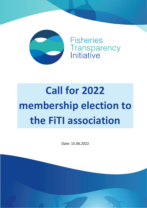

**Fisheries** Transparency<br>Initiative

# **Call for 2022 membership election to the FiTI association**

Date: 15.06.2022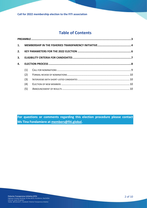## **Table of Contents**

| 2. |     |  |  |  |
|----|-----|--|--|--|
| 3. |     |  |  |  |
| 4. |     |  |  |  |
|    | (1) |  |  |  |
|    | (2) |  |  |  |
|    | (3) |  |  |  |
|    | (4) |  |  |  |
|    | (5) |  |  |  |
|    |     |  |  |  |

**For questions or comments regarding this election procedure please contact Ms Tina Fondamiere at [members@fiti.global.](mailto:members@fiti.global?subject=2022%20membership%20election%20for%20the%20FiTI%20association)**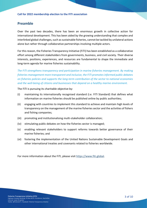## <span id="page-2-0"></span>**Preamble**

Over the past two decades, there has been an enormous growth in collective action for international development. This has been aided by the growing understanding that complex and interlinked global challenges, such as sustainable fisheries, cannot be tackled by unilateral actions alone but rather through collaborative partnerships involving multiple actors.

For this reason, the Fisheries Transparency Initiative (FiTI) has been established as a collaborative effort among different stakeholders from governments, business, and civil society. Their diverse interests, positions, experiences, and resources are fundamental to shape the immediate and long-term agenda for marine fisheries sustainability.

*The FiTI strengthens transparency and participation in marine fisheries management. By making fisheries management more transparent and inclusive, the FiTI promotes informed public debates on fisheries policies and supports the long-term contribution of the sector to national economies and the well-being of citizens and businesses that depend on a healthy marine environment.*

The FiTI is pursuing its charitable objective by:

- (i) maintaining its internationally recognised standard (i.e. FiTI Standard) that defines what information on marine fisheries should be published online by public authorities;
- (ii) engaging with countries to implement this standard to achieve and maintain high levels of transparency on the management of the marine fisheries sector and the activities of fishers and fishing companies;
- (iii) promoting and institutionalising multi-stakeholder collaboration;
- (iv) stimulating public debates on how the fisheries sector is managed;
- (v) enabling relevant stakeholders to support reforms towards better governance of their marine fisheries; and
- (vi) fostering the implementation of the United Nations Sustainable Development Goals and other international treaties and covenants related to fisheries worldwide.

For more information about the FiTI, please visit [https://www.fiti.global.](https://www.fiti.global/)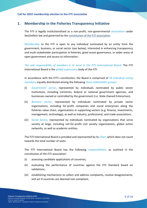## <span id="page-3-0"></span>**1. Membership in the Fisheries Transparency Initiative**

The FiTI is legally institutionalised as a non-profit, non-governmental *association* under Seychellois law and governed by the [constitution of the FiTI association.](https://www.fiti.global/association)

*Membership* to the FiTI is open to any individual nominated by an entity from the government, business, or social sector (see below), interested in enhancing transparency and multi-stakeholder participation in fisheries, good ocean governance, or wider areas of open government and access to information.

*The sole responsibility of members is to serve in the FiTI International Board.* The FiTI International Board is the *global supervisory* body of the FiTI.

In accordance with the FiTI's constitution, the Board is comprised of *18 individual voting members*, equally distributed among the following *three stakeholder groups*:

- (i) *Government sector*, represented by individuals nominated by public sector institutions, including ministries, federal or national government agencies, and businesses owned or controlled by the government (i.e. State-Owned Enterprises).
- (ii) *Business sector*, represented by individuals nominated by private sector organisations, including for-profit companies and social enterprises along the fisheries value chain, organisations in supporting sectors (e.g. finance, investments, management, technology), as well as industry, professional, and trade associations.
- (iii) *Social Sector*, represented by individuals nominated by organisations that serve society at large, including not-for-profit civil society organisations, global action networks, as well as academic entities.

The FiTI International Board is presided and represented by its *Chair*, which does not count towards the total number of seats.

The FiTI International Board has the following *responsibilities,* as outlined in the constitution of the FiTI association:

- (i) assessing candidate applications of countries;
- (ii) evaluating the performance of countries against the FiTI Standard based on validations;
- (iii) establishing mechanisms to collect and address complaints, resolve disagreements, and act if countries are deemed non-compliant;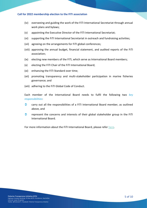- (iv) overseeing and guiding the work of the FiTI International Secretariat through annual work plans and bylaws;
- (v) appointing the Executive Director of the FiTI International Secretariat;
- (vi) supporting the FiTI International Secretariat in outreach and fundraising activities;
- (vii) agreeing on the arrangements for FiTI global conferences;
- (viii) approving the annual budget, financial statement, and audited reports of the FiTI association;
- (ix) electing new members of the FiTI, which serve as International Board members;
- (x) electing the FiTI Chair of the FiTI International Board;
- (xi) enhancing the FiTI Standard over time;
- (xii) promoting transparency and multi-stakeholder participation in marine fisheries governance; and
- (xiii) adhering to the FiTI Global Code of Conduct.

Each member of the International Board needs to fulfil the following two *key responsibilities*:

- $\bullet$  carry out all the responsibilities of a FITI International Board member, as outlined above, and
- $\bullet$  represent the concerns and interests of their global stakeholder group in the FiTI International Board.

For more information about the FiTI International Board, please refer [here.](https://www.fiti.global/fiti-international-board)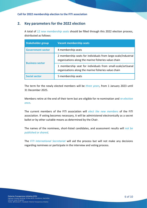## <span id="page-5-0"></span>**2. Key parameters for the 2022 election**

A total of *12 new membership seats* should be filled through this 2022 election process, distributed as follows:

| <b>Stakeholder group</b> | <b>Vacant membership seats</b>                                                                                         |
|--------------------------|------------------------------------------------------------------------------------------------------------------------|
| <b>Government sector</b> | 4 membership seats                                                                                                     |
| <b>Business sector</b>   | 2 membership seats for individuals from large-scale/industrial<br>organisations along the marine fisheries value chain |
|                          | 1 membership seat for individuals from small-scale/artisanal<br>organisations along the marine fisheries value chain   |
| <b>Social sector</b>     | 5 membership seats                                                                                                     |

The term for the newly elected members will be *three years*, from 1 January 2023 until 31 December 2025.

Members retire at the end of their term but are eligible for re-nomination and *re-election once*.

The current members of the FiTI association will *elect the new members* of the FiTI association. If voting becomes necessary, it will be administered electronically as a secret ballot or by other suitable means as determined by the Chair.

The names of the nominees, short-listed candidates, and assessment results will *not be published or shared*.

The *FiTI International Secretariat* will aid the process but will not make any decisions regarding nominees or participate in the interview and voting process.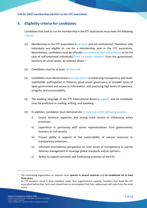## <span id="page-6-0"></span>**3. Eligibility criteria for candidates**

Candidates that seek to run for membership in the FiTI association must meet the following *criteria:*

- (1) Membership to the FiTI association is *personal* and not institutional. Therefore, only individuals are eligible to run for a membership seat in the FiTI association. Nevertheless, candidates must be officially *nominated by their organisation* or (in the case of self-employed individuals) *from an expert network<sup>1</sup>* from the government, business, or social sector, as outlined above.<sup>2</sup>
- (2) Candidates must be at least *18 years old*.
- (3) Candidates must demonstrate a *strong interest* in enhancing transparency and multistakeholder participation in fisheries, good ocean governance or broader areas of open government and access to information, and practicing high levels of openness, integrity, and accountability.
- (4) The working language of the FiTI International Board is *English,* and all candidates must be proficient in reading, writing, and speaking.
- (5) In addition, candidates must demonstrate *at least two of the following aspects*:
	- i) Sound technical expertise and strong track record in influencing policy processes;
	- ii) Experience in partnering with senior representatives from governments, business or civil society;
	- iii) Proven ability in support of the sustainability of natural resources or transparency processes;
	- iv) Informed international perspective on core issues of transparency in marine fisheries management to leverage global standards and/or partners;
	- v) Ability to support outreach and fundraising activities of the FiTI.

<sup>1</sup> The nominating organisation or network must **operate in several countries** and **be established for at least three years**.

<sup>2</sup> As FiTI members serve in their individual rather than organisational capacity, members that leave the FiTI association before their term ends should have no presumption that their replacement will come from the same entity.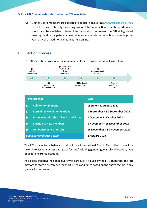(6) Elected Board members are expected to dedicate on average *one to two hours a week to the FiTI* – with intensity increasing around International Board meetings. Members should also be available to travel internationally to represent the FiTI at high-level meetings and participate in at least one in-person International Board meetings per year, as well as additional meetings held online.

## <span id="page-7-0"></span>**4. Election process**

The 2022 election process for new members of the FiTI association looks as follows:



The FiTI strives for a balanced and inclusive International Board. Thus, diversity will be taken into account across a range of factors (including gender, geographical location, type of experience/organisation).

As a global initiative, regional diversity is particularly valued by the FiTI. Therefore, the FiTI may opt to state a preference for short-listed candidates based on the above factors in any given selection round.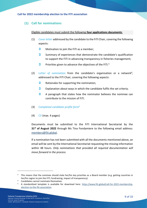## <span id="page-8-0"></span>**(1) Call for nominations**

#### Eligible candidates must submit the following **four applications documents**:

- (1) *Cover letter* addressed by the candidate to the FiTI Chair, covering the following aspects:
	- **C** Motivation to join the FITI as a member;
	- $\supset$  Summary of experiences that demonstrate the candidate's qualification to support the FiTI in advancing transparency in fisheries management;
	- **Priorities given to advance the objectives of the FiTI.**3
- (2) Letter of nomination from the candidate's organisation or a network<sup>4</sup>, addressed to the FiTI Chair, covering the following aspects:
	- $\bullet$  Rationales for supporting the nomination;
	- $\bullet$  Explanation about ways in which the candidate fulfils the set criteria;
	- $\bullet$  A paragraph that states how the nominator believes the nominee can contribute to the mission of FiTI.
- (3) *Completed candidate profile form<sup>5</sup>*
- (4) *CV* (max. 4 pages)

Documents must be submitted to the FiTI International Secretariat by the **31 st of August 2022** through Ms Tina Fondamiere to the following email address: [members@fiti.global.](mailto:members@fiti.global?subject=2021%20member%20election%20of%20the%20FiTI%20association)

If a nomination has not been submitted with all the documents mentioned above, an email will be sent by the International Secretariat requesting the missing information within 48 hours. *Only nominations that provided all required documentation will move forward in the process.*

<sup>&</sup>lt;sup>3</sup> This means that the nominee should state her/his key priorities as a Board member (e.g. getting countries in her/his region to join the FiTI, fundraising, impact of transparency).

<sup>4</sup> Candidates cannot nominate themselves.

<sup>5</sup> A standardized template is available for download here: [https://www.fiti.global/call-for-2022-membership](https://www.fiti.global/call-for-2022-membership-election-to-the-fiti-association)[election-to-the-fiti-association](https://www.fiti.global/call-for-2022-membership-election-to-the-fiti-association)